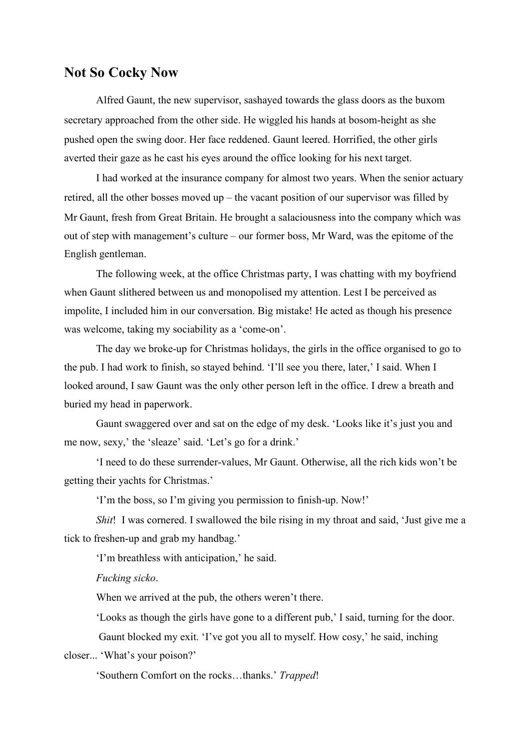## **Not So Cocky Now**

Alfred Gaunt, the new supervisor, sashayed towards the glass doors as the buxom secretary approached from the other side. He wiggled his hands at bosom-height as she pushed open the swing door. Her face reddened. Gaunt leered. Horrified, the other girls averted their gaze as he cast his eyes around the office looking for his next target.

I had worked at the insurance company for almost two years. When the senior actuary retired, all the other bosses moved up – the vacant position of our supervisor was filled by Mr Gaunt, fresh from Great Britain. He brought a salaciousness into the company which was out of step with management's culture – our former boss, Mr Ward, was the epitome of the English gentleman.

The following week, at the office Christmas party, I was chatting with my boyfriend when Gaunt slithered between us and monopolised my attention. Lest I be perceived as impolite, I included him in our conversation. Big mistake! He acted as though his presence was welcome, taking my sociability as a 'come-on'.

The day we broke-up for Christmas holidays, the girls in the office organised to go to the pub. I had work to finish, so stayed behind. 'I'll see you there, later,' I said. When I looked around, I saw Gaunt was the only other person left in the office. I drew a breath and buried my head in paperwork.<br>Gaunt swaggered over and sat on the edge of my desk. 'Looks like it's just you and

me now, sexy,' the 'sleaze' said. 'Let's go for a drink.'

'I need to do these surrender-values, Mr Gaunt. Otherwise, all the rich kids won't be getting their yachts for Christmas.'

'I'm the boss, so I'm giving you permission to finish-up. Now!'

*Shit*! I was cornered. I swallowed the bile rising in my throat and said, 'Just give me a tick to freshen-up and grab my handbag.'

'I'm breathless with anticipation,' he said.

*Fucking sicko*.

When we arrived at the pub, the others weren't there.

'Looks as though the girls have gone to a different pub,' I said, turning for the door.

Gaunt blocked my exit. 'I've got you all to myself. How cosy,' he said, inching

closer... 'What's your poison?'

'Southern Comfort on the rocks…thanks.' *Trapped*!